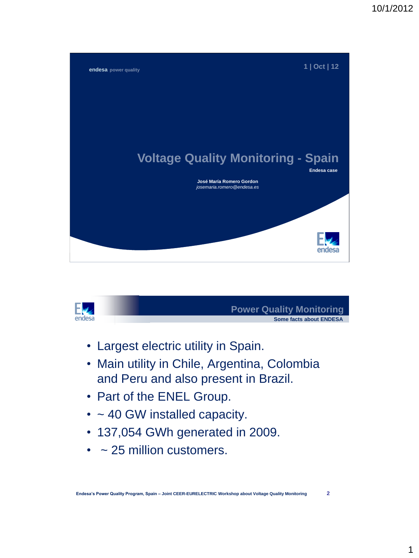



- Largest electric utility in Spain.
- Main utility in Chile, Argentina, Colombia and Peru and also present in Brazil.
- Part of the ENEL Group.
- ~ 40 GW installed capacity.
- 137,054 GWh generated in 2009.
- ~ 25 million customers.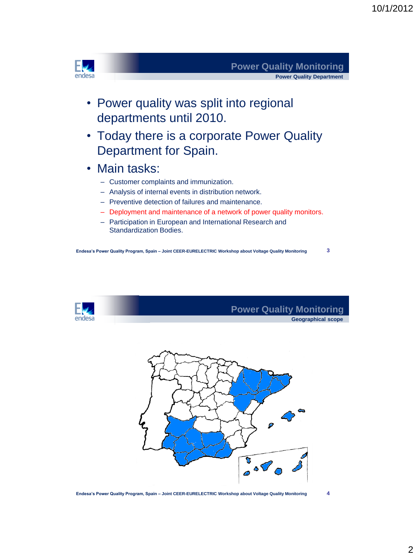

- Power quality was split into regional departments until 2010.
- Today there is a corporate Power Quality Department for Spain.
- Main tasks:
	- Customer complaints and immunization.
	- Analysis of internal events in distribution network.
	- Preventive detection of failures and maintenance.
	- Deployment and maintenance of a network of power quality monitors.
	- Participation in European and International Research and Standardization Bodies.

**Endesa's Power Quality Program, Spain – Joint CEER-EURELECTRIC Workshop about Voltage Quality Monitoring**

**3**



**4**

 $\int_{0}^{\infty}$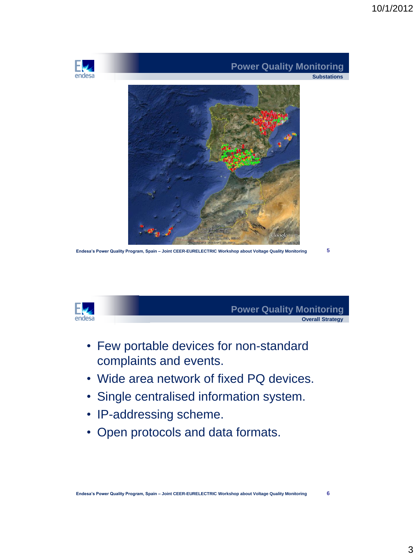

**Endesa's Power Quality Program, Spain – Joint CEER-EURELECTRIC Workshop about Voltage Quality Monitoring**

**5**



#### **Power Quality Monitoring Overall Strategy**

- Few portable devices for non-standard complaints and events.
- Wide area network of fixed PQ devices.
- Single centralised information system.
- IP-addressing scheme.
- Open protocols and data formats.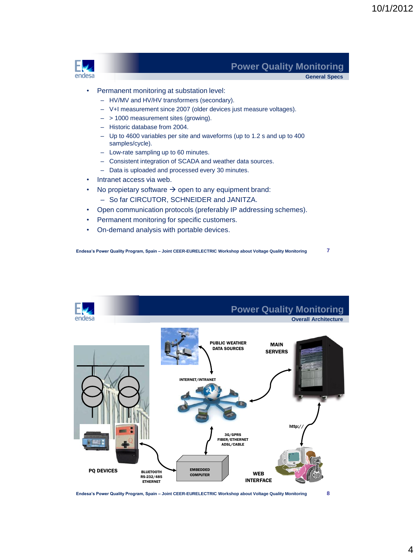

**General Specs**

**7**

- Permanent monitoring at substation level:
	- HV/MV and HV/HV transformers (secondary).
	- V+I measurement since 2007 (older devices just measure voltages).
	- > 1000 measurement sites (growing).
	- Historic database from 2004.
	- Up to 4600 variables per site and waveforms (up to 1.2 s and up to 400 samples/cycle).
	- Low-rate sampling up to 60 minutes.
	- Consistent integration of SCADA and weather data sources.
	- Data is uploaded and processed every 30 minutes.
- Intranet access via web.
- No propietary software  $\rightarrow$  open to any equipment brand:
	- So far CIRCUTOR, SCHNEIDER and JANITZA.
- Open communication protocols (preferably IP addressing schemes).
- Permanent monitoring for specific customers.
- On-demand analysis with portable devices.

**Endesa's Power Quality Program, Spain – Joint CEER-EURELECTRIC Workshop about Voltage Quality Monitoring**

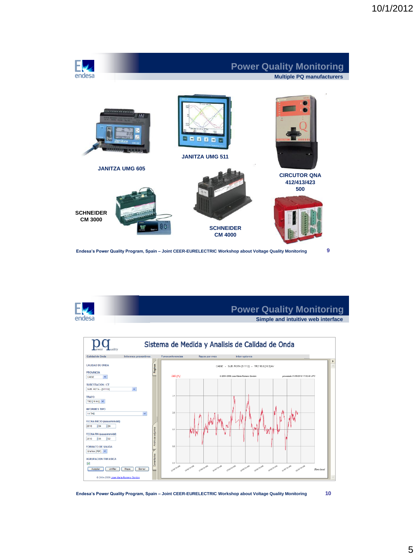

**Endesa's Power Quality Program, Spain – Joint CEER-EURELECTRIC Workshop about Voltage Quality Monitoring**



### **Power Quality Monitoring**

**Simple and intuitive web interface**

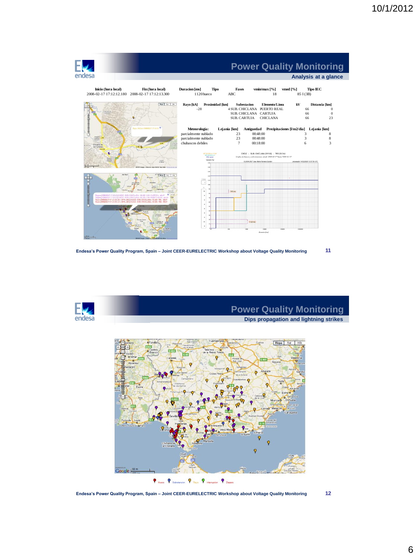

**Endesa's Power Quality Program, Spain – Joint CEER-EURELECTRIC Workshop about Voltage Quality Monitoring**



**Dips propagation and lightning strikes**



**Endesa's Power Quality Program, Spain – Joint CEER-EURELECTRIC Workshop about Voltage Quality Monitoring**

**12**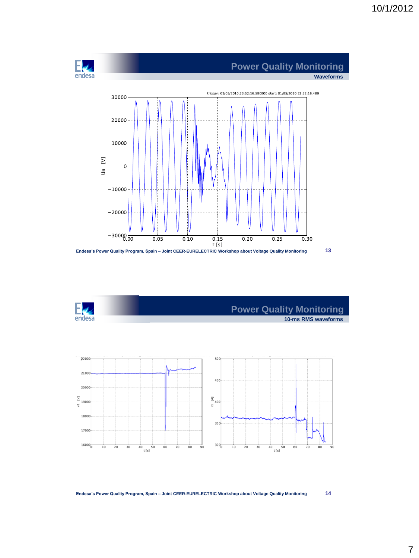



**10-ms RMS waveforms**



EØ endesa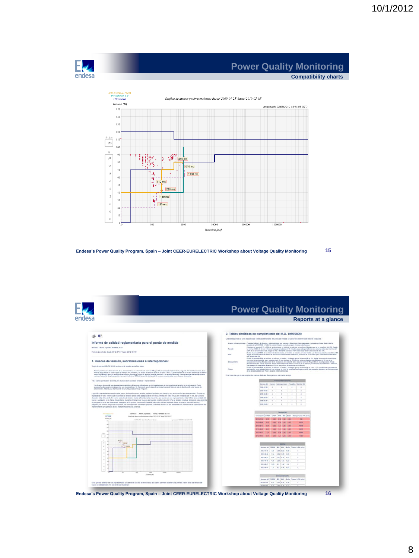

**Compatibility charts**



**Endesa's Power Quality Program, Spain – Joint CEER-EURELECTRIC Workshop about Voltage Quality Monitoring 15**